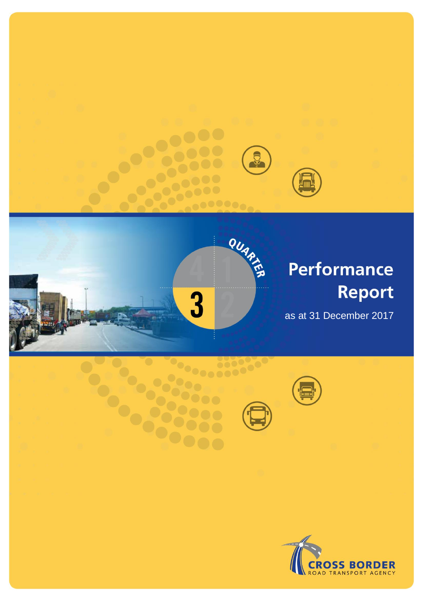



# **Performance** Report

as at 31 December 2017



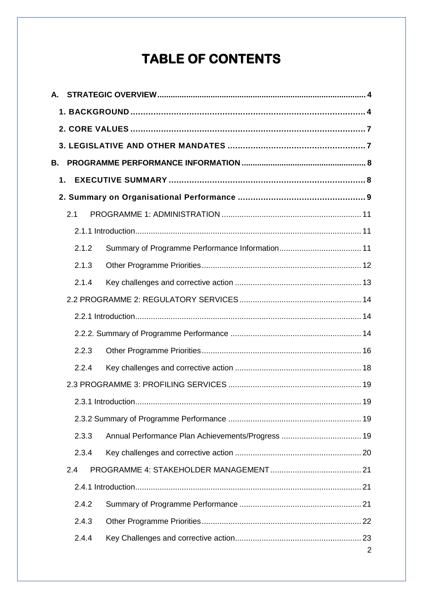# **TABLE OF CONTENTS**

| А. |       |   |
|----|-------|---|
|    |       |   |
|    |       |   |
|    |       |   |
| В. |       |   |
|    | 1.    |   |
|    |       |   |
|    | 2.1   |   |
|    |       |   |
|    | 2.1.2 |   |
|    | 2.1.3 |   |
|    | 2.1.4 |   |
|    |       |   |
|    |       |   |
|    |       |   |
|    | 2.2.3 |   |
|    | 2.2.4 |   |
|    |       |   |
|    |       |   |
|    |       |   |
|    | 2.3.3 |   |
|    | 2.3.4 |   |
|    | 2.4   |   |
|    |       |   |
|    | 2.4.2 |   |
|    | 2.4.3 |   |
|    | 2.4.4 |   |
|    |       | 2 |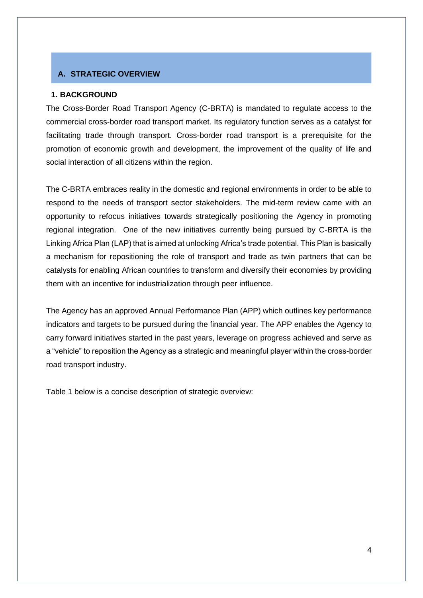## <span id="page-3-0"></span>**A. STRATEGIC OVERVIEW**

### <span id="page-3-1"></span>**1. BACKGROUND**

The Cross-Border Road Transport Agency (C-BRTA) is mandated to regulate access to the commercial cross-border road transport market. Its regulatory function serves as a catalyst for facilitating trade through transport. Cross-border road transport is a prerequisite for the promotion of economic growth and development, the improvement of the quality of life and social interaction of all citizens within the region.

The C-BRTA embraces reality in the domestic and regional environments in order to be able to respond to the needs of transport sector stakeholders. The mid-term review came with an opportunity to refocus initiatives towards strategically positioning the Agency in promoting regional integration. One of the new initiatives currently being pursued by C-BRTA is the Linking Africa Plan (LAP) that is aimed at unlocking Africa's trade potential. This Plan is basically a mechanism for repositioning the role of transport and trade as twin partners that can be catalysts for enabling African countries to transform and diversify their economies by providing them with an incentive for industrialization through peer influence.

The Agency has an approved Annual Performance Plan (APP) which outlines key performance indicators and targets to be pursued during the financial year. The APP enables the Agency to carry forward initiatives started in the past years, leverage on progress achieved and serve as a "vehicle" to reposition the Agency as a strategic and meaningful player within the cross-border road transport industry.

Table 1 below is a concise description of strategic overview: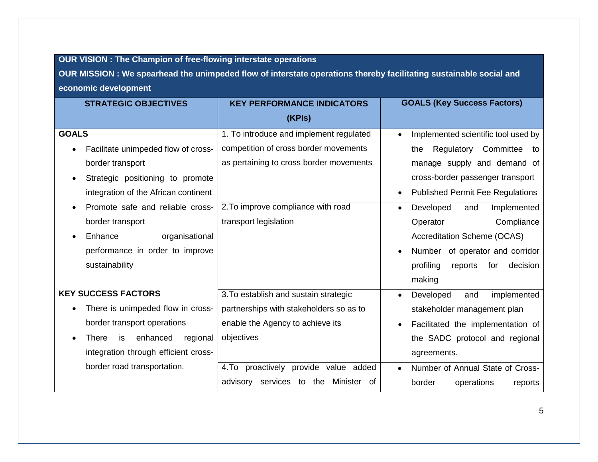# **OUR VISION : The Champion of free-flowing interstate operations**

**OUR MISSION : We spearhead the unimpeded flow of interstate operations thereby facilitating sustainable social and economic development**

| <b>STRATEGIC OBJECTIVES</b>                | <b>KEY PERFORMANCE INDICATORS</b>       | <b>GOALS (Key Success Factors)</b>               |
|--------------------------------------------|-----------------------------------------|--------------------------------------------------|
|                                            | (KPIs)                                  |                                                  |
| <b>GOALS</b>                               | 1. To introduce and implement regulated | Implemented scientific tool used by<br>$\bullet$ |
| Facilitate unimpeded flow of cross-        | competition of cross border movements   | Regulatory<br>Committee<br>the<br>to:            |
| border transport                           | as pertaining to cross border movements | manage supply and demand of                      |
| Strategic positioning to promote           |                                         | cross-border passenger transport                 |
| integration of the African continent       |                                         | <b>Published Permit Fee Regulations</b>          |
| Promote safe and reliable cross-           | 2. To improve compliance with road      | Developed<br>and<br>Implemented<br>$\bullet$     |
| border transport                           | transport legislation                   | Compliance<br>Operator                           |
| Enhance<br>organisational                  |                                         | <b>Accreditation Scheme (OCAS)</b>               |
| performance in order to improve            |                                         | Number of operator and corridor                  |
| sustainability                             |                                         | profiling<br>decision<br>reports<br>for          |
|                                            |                                         | making                                           |
| <b>KEY SUCCESS FACTORS</b>                 | 3. To establish and sustain strategic   | Developed<br>implemented<br>and<br>$\bullet$     |
| There is unimpeded flow in cross-          | partnerships with stakeholders so as to | stakeholder management plan                      |
| border transport operations                | enable the Agency to achieve its        | Facilitated the implementation of                |
| enhanced<br><b>There</b><br>regional<br>is | objectives                              | the SADC protocol and regional                   |
| integration through efficient cross-       |                                         | agreements.                                      |
| border road transportation.                | 4.To proactively provide value added    | Number of Annual State of Cross-<br>$\bullet$    |
|                                            | Minister of<br>advisory services to the | border<br>operations<br>reports                  |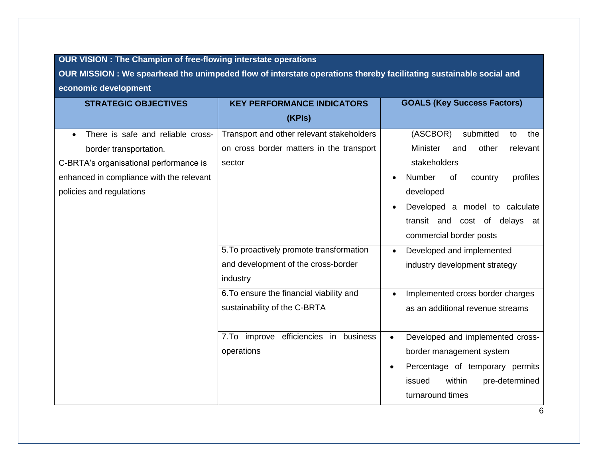# **OUR VISION : The Champion of free-flowing interstate operations**

**OUR MISSION : We spearhead the unimpeded flow of interstate operations thereby facilitating sustainable social and economic development**

| <b>STRATEGIC OBJECTIVES</b>              | <b>KEY PERFORMANCE INDICATORS</b>         | <b>GOALS (Key Success Factors)</b>            |
|------------------------------------------|-------------------------------------------|-----------------------------------------------|
|                                          | (KPIs)                                    |                                               |
| There is safe and reliable cross-        | Transport and other relevant stakeholders | (ASCBOR)<br>submitted<br>the<br>to            |
| border transportation.                   | on cross border matters in the transport  | <b>Minister</b><br>other<br>relevant<br>and   |
| C-BRTA's organisational performance is   | sector                                    | stakeholders                                  |
| enhanced in compliance with the relevant |                                           | Number<br>profiles<br>country<br>of           |
| policies and regulations                 |                                           | developed                                     |
|                                          |                                           | Developed a model to calculate                |
|                                          |                                           | transit and cost of delays at                 |
|                                          |                                           | commercial border posts                       |
|                                          | 5. To proactively promote transformation  | Developed and implemented                     |
|                                          | and development of the cross-border       | industry development strategy                 |
|                                          | industry                                  |                                               |
|                                          | 6. To ensure the financial viability and  | Implemented cross border charges              |
|                                          | sustainability of the C-BRTA              | as an additional revenue streams              |
|                                          |                                           |                                               |
|                                          | efficiencies in business<br>7.To improve  | Developed and implemented cross-<br>$\bullet$ |
|                                          | operations                                | border management system                      |
|                                          |                                           | Percentage of temporary permits<br>$\bullet$  |
|                                          |                                           | issued<br>within<br>pre-determined            |
|                                          |                                           | turnaround times                              |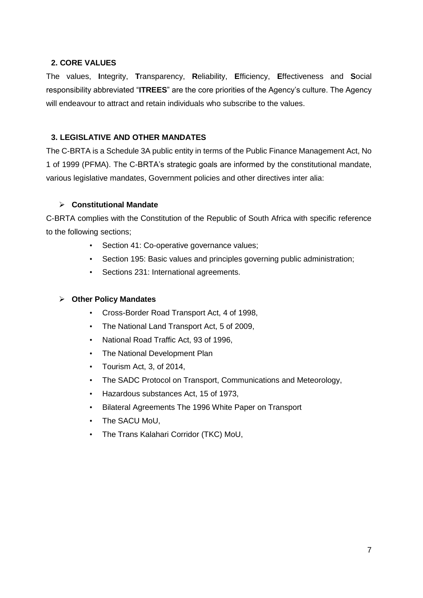## <span id="page-6-0"></span>**2. CORE VALUES**

The values, **I**ntegrity, **T**ransparency, **R**eliability, **E**fficiency, **E**ffectiveness and **S**ocial responsibility abbreviated "**ITREES**" are the core priorities of the Agency's culture. The Agency will endeavour to attract and retain individuals who subscribe to the values.

## <span id="page-6-1"></span>**3. LEGISLATIVE AND OTHER MANDATES**

The C-BRTA is a Schedule 3A public entity in terms of the Public Finance Management Act, No 1 of 1999 (PFMA). The C-BRTA's strategic goals are informed by the constitutional mandate, various legislative mandates, Government policies and other directives inter alia:

## **Constitutional Mandate**

C-BRTA complies with the Constitution of the Republic of South Africa with specific reference to the following sections;

- Section 41: Co-operative governance values;
- Section 195: Basic values and principles governing public administration;
- Sections 231: International agreements.

## **Other Policy Mandates**

- Cross-Border Road Transport Act, 4 of 1998,
- The National Land Transport Act, 5 of 2009,
- National Road Traffic Act, 93 of 1996,
- The National Development Plan
- Tourism Act, 3, of 2014,
- The SADC Protocol on Transport, Communications and Meteorology,
- Hazardous substances Act, 15 of 1973,
- Bilateral Agreements The 1996 White Paper on Transport
- The SACU MoU,
- The Trans Kalahari Corridor (TKC) MoU,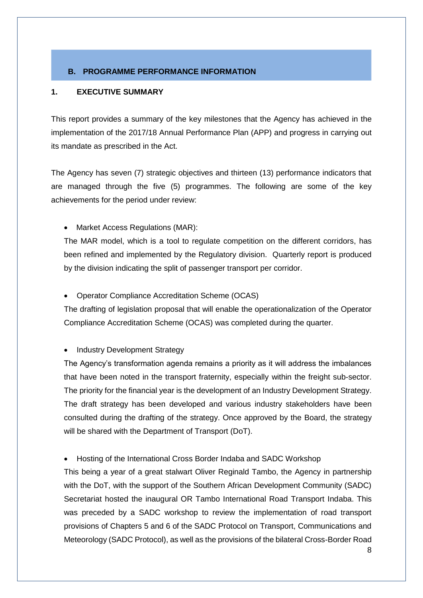# <span id="page-7-0"></span>**B. PROGRAMME PERFORMANCE INFORMATION**

## <span id="page-7-1"></span>**1. EXECUTIVE SUMMARY**

This report provides a summary of the key milestones that the Agency has achieved in the implementation of the 2017/18 Annual Performance Plan (APP) and progress in carrying out its mandate as prescribed in the Act.

The Agency has seven (7) strategic objectives and thirteen (13) performance indicators that are managed through the five (5) programmes. The following are some of the key achievements for the period under review:

• Market Access Regulations (MAR):

The MAR model, which is a tool to regulate competition on the different corridors, has been refined and implemented by the Regulatory division. Quarterly report is produced by the division indicating the split of passenger transport per corridor.

Operator Compliance Accreditation Scheme (OCAS)

The drafting of legislation proposal that will enable the operationalization of the Operator Compliance Accreditation Scheme (OCAS) was completed during the quarter.

## • Industry Development Strategy

The Agency's transformation agenda remains a priority as it will address the imbalances that have been noted in the transport fraternity, especially within the freight sub-sector. The priority for the financial year is the development of an Industry Development Strategy. The draft strategy has been developed and various industry stakeholders have been consulted during the drafting of the strategy. Once approved by the Board, the strategy will be shared with the Department of Transport (DoT).

Hosting of the International Cross Border Indaba and SADC Workshop

This being a year of a great stalwart Oliver Reginald Tambo, the Agency in partnership with the DoT, with the support of the Southern African Development Community (SADC) Secretariat hosted the inaugural OR Tambo International Road Transport Indaba. This was preceded by a SADC workshop to review the implementation of road transport provisions of Chapters 5 and 6 of the SADC Protocol on Transport, Communications and Meteorology (SADC Protocol), as well as the provisions of the bilateral Cross-Border Road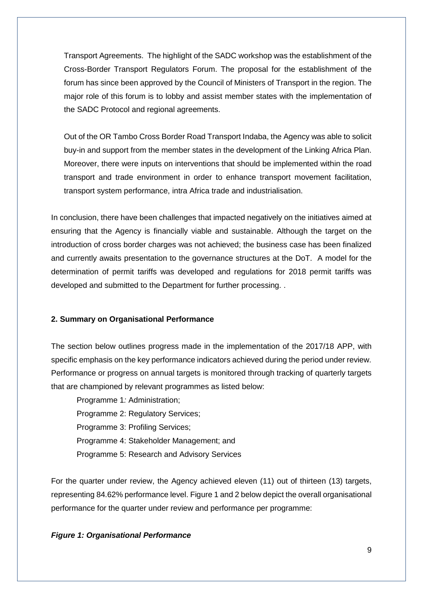Transport Agreements. The highlight of the SADC workshop was the establishment of the Cross-Border Transport Regulators Forum. The proposal for the establishment of the forum has since been approved by the Council of Ministers of Transport in the region. The major role of this forum is to lobby and assist member states with the implementation of the SADC Protocol and regional agreements.

Out of the OR Tambo Cross Border Road Transport Indaba, the Agency was able to solicit buy-in and support from the member states in the development of the Linking Africa Plan. Moreover, there were inputs on interventions that should be implemented within the road transport and trade environment in order to enhance transport movement facilitation, transport system performance, intra Africa trade and industrialisation.

In conclusion, there have been challenges that impacted negatively on the initiatives aimed at ensuring that the Agency is financially viable and sustainable. Although the target on the introduction of cross border charges was not achieved; the business case has been finalized and currently awaits presentation to the governance structures at the DoT. A model for the determination of permit tariffs was developed and regulations for 2018 permit tariffs was developed and submitted to the Department for further processing. .

## <span id="page-8-0"></span>**2. Summary on Organisational Performance**

The section below outlines progress made in the implementation of the 2017/18 APP, with specific emphasis on the key performance indicators achieved during the period under review. Performance or progress on annual targets is monitored through tracking of quarterly targets that are championed by relevant programmes as listed below:

Programme 1*:* Administration; Programme 2: Regulatory Services; Programme 3: Profiling Services; Programme 4: Stakeholder Management; and Programme 5: Research and Advisory Services

For the quarter under review, the Agency achieved eleven (11) out of thirteen (13) targets, representing 84.62% performance level. Figure 1 and 2 below depict the overall organisational performance for the quarter under review and performance per programme:

## *Figure 1: Organisational Performance*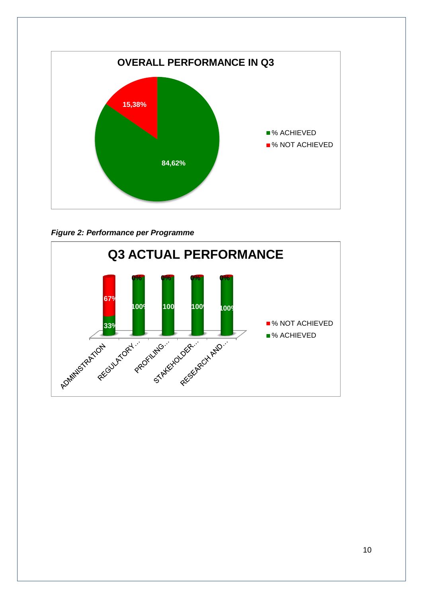

*Figure 2: Performance per Programme*

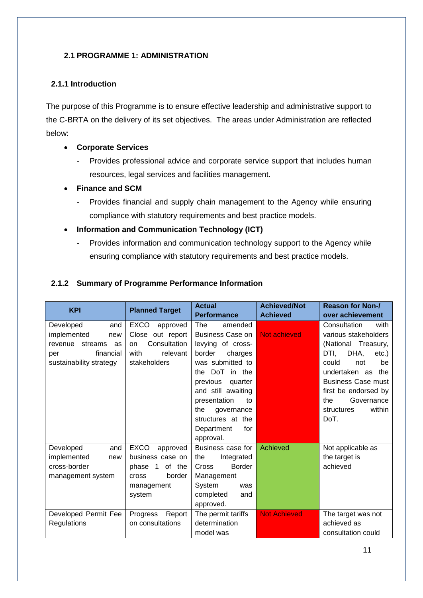# <span id="page-10-0"></span>**2.1 PROGRAMME 1: ADMINISTRATION**

## <span id="page-10-1"></span>**2.1.1 Introduction**

The purpose of this Programme is to ensure effective leadership and administrative support to the C-BRTA on the delivery of its set objectives. The areas under Administration are reflected below:

## **Corporate Services**

- Provides professional advice and corporate service support that includes human resources, legal services and facilities management.
- **Finance and SCM**
	- Provides financial and supply chain management to the Agency while ensuring compliance with statutory requirements and best practice models.
- **Information and Communication Technology (ICT)**
	- Provides information and communication technology support to the Agency while ensuring compliance with statutory requirements and best practice models.

# <span id="page-10-2"></span>**2.1.2 Summary of Programme Performance Information**

| <b>KPI</b>                                                                                                        | <b>Planned Target</b>                                                                                                 | <b>Actual</b>                                                                                                                                                                                                                                                                  | <b>Achieved/Not</b> | <b>Reason for Non-/</b>                                                                                                                                                                                                                                 |
|-------------------------------------------------------------------------------------------------------------------|-----------------------------------------------------------------------------------------------------------------------|--------------------------------------------------------------------------------------------------------------------------------------------------------------------------------------------------------------------------------------------------------------------------------|---------------------|---------------------------------------------------------------------------------------------------------------------------------------------------------------------------------------------------------------------------------------------------------|
|                                                                                                                   |                                                                                                                       | <b>Performance</b>                                                                                                                                                                                                                                                             | <b>Achieved</b>     | over achievement                                                                                                                                                                                                                                        |
| Developed<br>and<br>implemented<br>new<br>revenue<br>streams<br>as<br>financial<br>per<br>sustainability strategy | <b>EXCO</b><br>approved<br>Close out report<br>Consultation<br>on<br>with<br>relevant<br>stakeholders                 | The<br>amended<br><b>Business Case on</b><br>levying of cross-<br>border<br>charges<br>was submitted to<br>DoT<br>in the<br>the<br>previous<br>quarter<br>and still awaiting<br>presentation<br>to<br>the<br>governance<br>structures at the<br>Department<br>for<br>approval. | <b>Not achieved</b> | Consultation<br>with<br>various stakeholders<br>(National Treasury,<br>DHA,<br>DTI.<br>$etc.$ )<br>could<br>be<br>not<br>undertaken as<br>the<br><b>Business Case must</b><br>first be endorsed by<br>Governance<br>the<br>within<br>structures<br>DoT. |
| Developed<br>and<br>implemented<br>new<br>cross-border<br>management system                                       | <b>EXCO</b><br>approved<br>business case on<br>of<br>the<br>phase 1<br>border<br><b>Cross</b><br>management<br>system | Business case for<br>the<br>Integrated<br><b>Border</b><br>Cross<br>Management<br>System<br>was<br>completed<br>and<br>approved.                                                                                                                                               | Achieved            | Not applicable as<br>the target is<br>achieved                                                                                                                                                                                                          |
| Developed Permit Fee<br>Regulations                                                                               | Progress<br>Report<br>on consultations                                                                                | The permit tariffs<br>determination<br>model was                                                                                                                                                                                                                               | <b>Not Achieved</b> | The target was not<br>achieved as<br>consultation could                                                                                                                                                                                                 |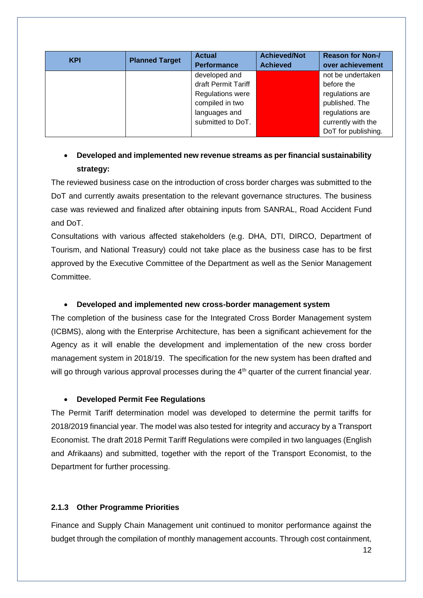| <b>KPI</b> | <b>Planned Target</b> | <b>Actual</b><br><b>Performance</b> | <b>Achieved/Not</b><br><b>Achieved</b> | <b>Reason for Non-/</b><br>over achievement |
|------------|-----------------------|-------------------------------------|----------------------------------------|---------------------------------------------|
|            |                       | developed and                       |                                        | not be undertaken                           |
|            |                       | draft Permit Tariff                 |                                        | before the                                  |
|            |                       | Regulations were                    |                                        | regulations are                             |
|            |                       | compiled in two                     |                                        | published. The                              |
|            |                       | languages and                       |                                        | regulations are                             |
|            |                       | submitted to DoT.                   |                                        | currently with the                          |
|            |                       |                                     |                                        | DoT for publishing.                         |

# **Developed and implemented new revenue streams as per financial sustainability strategy:**

The reviewed business case on the introduction of cross border charges was submitted to the DoT and currently awaits presentation to the relevant governance structures. The business case was reviewed and finalized after obtaining inputs from SANRAL, Road Accident Fund and DoT.

Consultations with various affected stakeholders (e.g. DHA, DTI, DIRCO, Department of Tourism, and National Treasury) could not take place as the business case has to be first approved by the Executive Committee of the Department as well as the Senior Management Committee.

# **Developed and implemented new cross-border management system**

The completion of the business case for the Integrated Cross Border Management system (ICBMS), along with the Enterprise Architecture, has been a significant achievement for the Agency as it will enable the development and implementation of the new cross border management system in 2018/19. The specification for the new system has been drafted and will go through various approval processes during the 4<sup>th</sup> quarter of the current financial year.

# **Developed Permit Fee Regulations**

The Permit Tariff determination model was developed to determine the permit tariffs for 2018/2019 financial year. The model was also tested for integrity and accuracy by a Transport Economist. The draft 2018 Permit Tariff Regulations were compiled in two languages (English and Afrikaans) and submitted, together with the report of the Transport Economist, to the Department for further processing.

# <span id="page-11-0"></span>**2.1.3 Other Programme Priorities**

Finance and Supply Chain Management unit continued to monitor performance against the budget through the compilation of monthly management accounts. Through cost containment,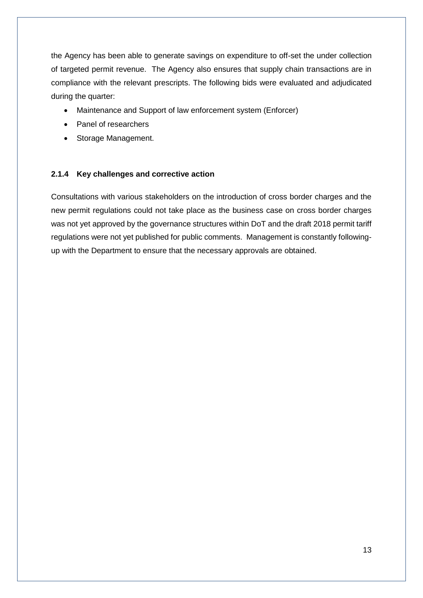the Agency has been able to generate savings on expenditure to off-set the under collection of targeted permit revenue. The Agency also ensures that supply chain transactions are in compliance with the relevant prescripts. The following bids were evaluated and adjudicated during the quarter:

- Maintenance and Support of law enforcement system (Enforcer)
- Panel of researchers
- Storage Management.

## <span id="page-12-0"></span>**2.1.4 Key challenges and corrective action**

Consultations with various stakeholders on the introduction of cross border charges and the new permit regulations could not take place as the business case on cross border charges was not yet approved by the governance structures within DoT and the draft 2018 permit tariff regulations were not yet published for public comments. Management is constantly followingup with the Department to ensure that the necessary approvals are obtained.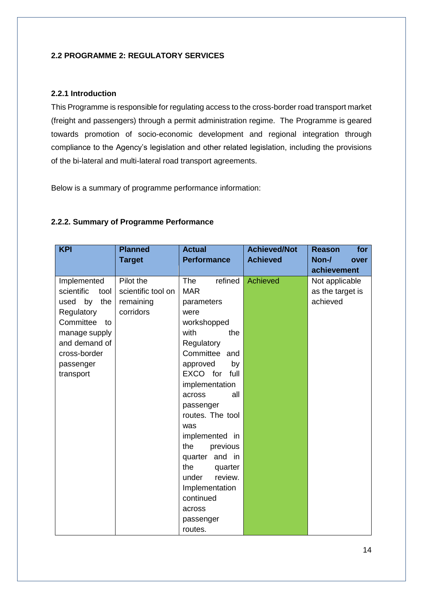## <span id="page-13-0"></span>**2.2 PROGRAMME 2: REGULATORY SERVICES**

## <span id="page-13-1"></span>**2.2.1 Introduction**

This Programme is responsible for regulating access to the cross-border road transport market (freight and passengers) through a permit administration regime. The Programme is geared towards promotion of socio-economic development and regional integration through compliance to the Agency's legislation and other related legislation, including the provisions of the bi-lateral and multi-lateral road transport agreements.

Below is a summary of programme performance information:

## <span id="page-13-2"></span>**2.2.2. Summary of Programme Performance**

| <b>KPI</b>                                                                                                                                                       | <b>Planned</b><br><b>Target</b>                           | <b>Actual</b><br><b>Performance</b>                                                                                                                                                                                                                                                                                                                                                                | <b>Achieved/Not</b><br><b>Achieved</b> | for<br><b>Reason</b><br>Non-/<br>over<br>achievement |
|------------------------------------------------------------------------------------------------------------------------------------------------------------------|-----------------------------------------------------------|----------------------------------------------------------------------------------------------------------------------------------------------------------------------------------------------------------------------------------------------------------------------------------------------------------------------------------------------------------------------------------------------------|----------------------------------------|------------------------------------------------------|
| Implemented<br>scientific<br>tool<br>the<br>used by<br>Regulatory<br>Committee<br>to<br>manage supply<br>and demand of<br>cross-border<br>passenger<br>transport | Pilot the<br>scientific tool on<br>remaining<br>corridors | refined<br><b>The</b><br><b>MAR</b><br>parameters<br>were<br>workshopped<br>with<br>the<br>Regulatory<br>Committee and<br>approved<br>by<br>EXCO for full<br>implementation<br>all<br>across<br>passenger<br>routes. The tool<br>was<br>implemented in<br>the<br>previous<br>quarter and in<br>the<br>quarter<br>under<br>review.<br>Implementation<br>continued<br>across<br>passenger<br>routes. | Achieved                               | Not applicable<br>as the target is<br>achieved       |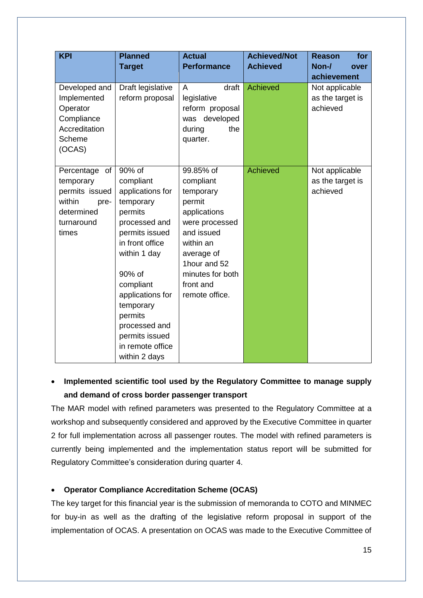| <b>KPI</b>       | <b>Planned</b>    | <b>Actual</b>              | <b>Achieved/Not</b> | <b>Reason</b><br>for |
|------------------|-------------------|----------------------------|---------------------|----------------------|
|                  | <b>Target</b>     | <b>Performance</b>         | <b>Achieved</b>     | Non-/<br>over        |
|                  |                   |                            |                     | achievement          |
| Developed and    | Draft legislative | draft<br>A                 | <b>Achieved</b>     | Not applicable       |
| Implemented      | reform proposal   | legislative                |                     | as the target is     |
| Operator         |                   | reform proposal            |                     | achieved             |
| Compliance       |                   | was developed              |                     |                      |
| Accreditation    |                   | the<br>during              |                     |                      |
| Scheme           |                   | quarter.                   |                     |                      |
| (OCAS)           |                   |                            |                     |                      |
|                  |                   |                            |                     |                      |
| of<br>Percentage | $90\% \text{ of}$ | 99.85% of                  | <b>Achieved</b>     | Not applicable       |
| temporary        | compliant         | compliant                  |                     | as the target is     |
| permits issued   | applications for  | temporary                  |                     | achieved             |
| within<br>pre-   | temporary         | permit                     |                     |                      |
| determined       | permits           | applications               |                     |                      |
| turnaround       | processed and     | were processed             |                     |                      |
| times            | permits issued    | and issued                 |                     |                      |
|                  | in front office   | within an                  |                     |                      |
|                  | within 1 day      | average of<br>1hour and 52 |                     |                      |
|                  | 90% of            | minutes for both           |                     |                      |
|                  | compliant         | front and                  |                     |                      |
|                  | applications for  | remote office.             |                     |                      |
|                  | temporary         |                            |                     |                      |
|                  | permits           |                            |                     |                      |
|                  | processed and     |                            |                     |                      |
|                  | permits issued    |                            |                     |                      |
|                  | in remote office  |                            |                     |                      |
|                  | within 2 days     |                            |                     |                      |

# **Implemented scientific tool used by the Regulatory Committee to manage supply and demand of cross border passenger transport**

The MAR model with refined parameters was presented to the Regulatory Committee at a workshop and subsequently considered and approved by the Executive Committee in quarter 2 for full implementation across all passenger routes. The model with refined parameters is currently being implemented and the implementation status report will be submitted for Regulatory Committee's consideration during quarter 4.

# **Operator Compliance Accreditation Scheme (OCAS)**

The key target for this financial year is the submission of memoranda to COTO and MINMEC for buy-in as well as the drafting of the legislative reform proposal in support of the implementation of OCAS. A presentation on OCAS was made to the Executive Committee of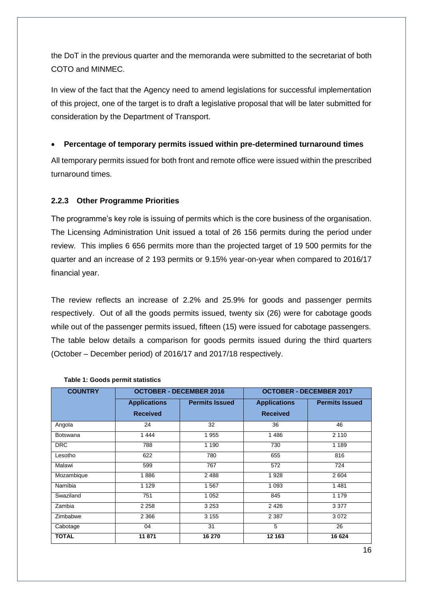the DoT in the previous quarter and the memoranda were submitted to the secretariat of both COTO and MINMEC.

In view of the fact that the Agency need to amend legislations for successful implementation of this project, one of the target is to draft a legislative proposal that will be later submitted for consideration by the Department of Transport.

## **Percentage of temporary permits issued within pre-determined turnaround times**

All temporary permits issued for both front and remote office were issued within the prescribed turnaround times.

## <span id="page-15-0"></span>**2.2.3 Other Programme Priorities**

The programme's key role is issuing of permits which is the core business of the organisation. The Licensing Administration Unit issued a total of 26 156 permits during the period under review. This implies 6 656 permits more than the projected target of 19 500 permits for the quarter and an increase of 2 193 permits or 9.15% year-on-year when compared to 2016/17 financial year.

The review reflects an increase of 2.2% and 25.9% for goods and passenger permits respectively. Out of all the goods permits issued, twenty six (26) were for cabotage goods while out of the passenger permits issued, fifteen (15) were issued for cabotage passengers. The table below details a comparison for goods permits issued during the third quarters (October – December period) of 2016/17 and 2017/18 respectively.

| <b>COUNTRY</b>  | <b>OCTOBER - DECEMBER 2016</b> |                       | <b>OCTOBER - DECEMBER 2017</b> |                       |
|-----------------|--------------------------------|-----------------------|--------------------------------|-----------------------|
|                 | <b>Applications</b>            | <b>Permits Issued</b> | <b>Applications</b>            | <b>Permits Issued</b> |
|                 | <b>Received</b>                |                       | <b>Received</b>                |                       |
| Angola          | 24                             | 32                    | 36                             | 46                    |
| <b>Botswana</b> | 1444                           | 1955                  | 1486                           | 2 1 1 0               |
| <b>DRC</b>      | 788                            | 1 1 9 0               | 730                            | 1 1 8 9               |
| Lesotho         | 622                            | 780                   | 655                            | 816                   |
| Malawi          | 599                            | 767                   | 572                            | 724                   |
| Mozambique      | 1886                           | 2488                  | 1928                           | 2 604                 |
| Namibia         | 1 1 2 9                        | 1567                  | 1 0 9 3                        | 1 4 8 1               |
| Swaziland       | 751                            | 1 0 5 2               | 845                            | 1 1 7 9               |
| Zambia          | 2 2 5 8                        | 3 2 5 3               | 2 4 2 6                        | 3 3 7 7               |
| Zimbabwe        | 2 3 6 6                        | 3 1 5 5               | 2 3 8 7                        | 3072                  |
| Cabotage        | 04                             | 31                    | 5                              | 26                    |
| <b>TOTAL</b>    | 11871                          | 16 270                | 12 163                         | 16 624                |

#### **Table 1: Goods permit statistics**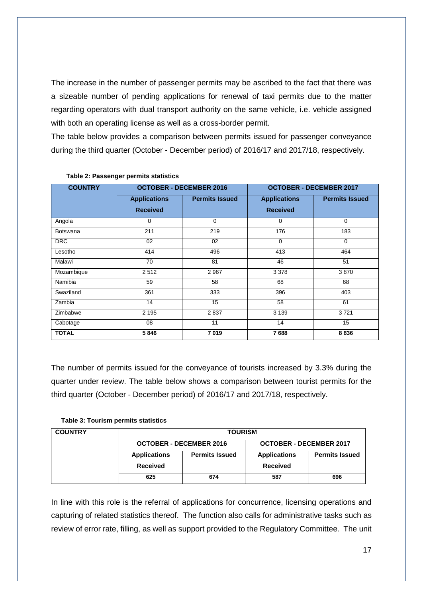The increase in the number of passenger permits may be ascribed to the fact that there was a sizeable number of pending applications for renewal of taxi permits due to the matter regarding operators with dual transport authority on the same vehicle, i.e. vehicle assigned with both an operating license as well as a cross-border permit.

The table below provides a comparison between permits issued for passenger conveyance during the third quarter (October - December period) of 2016/17 and 2017/18, respectively.

| <b>COUNTRY</b>  | <b>OCTOBER - DECEMBER 2016</b>         |                       | <b>OCTOBER - DECEMBER 2017</b>         |                       |
|-----------------|----------------------------------------|-----------------------|----------------------------------------|-----------------------|
|                 | <b>Applications</b><br><b>Received</b> | <b>Permits Issued</b> | <b>Applications</b><br><b>Received</b> | <b>Permits Issued</b> |
| Angola          | $\mathbf 0$                            | $\Omega$              | $\Omega$                               | 0                     |
| <b>Botswana</b> | 211                                    | 219                   | 176                                    | 183                   |
| <b>DRC</b>      | 02                                     | 02                    | $\Omega$                               | $\mathbf 0$           |
| Lesotho         | 414                                    | 496                   | 413                                    | 464                   |
| Malawi          | 70                                     | 81                    | 46                                     | 51                    |
| Mozambique      | 2512                                   | 2 9 6 7               | 3 3 7 8                                | 3870                  |
| Namibia         | 59                                     | 58                    | 68                                     | 68                    |
| Swaziland       | 361                                    | 333                   | 396                                    | 403                   |
| Zambia          | 14                                     | 15                    | 58                                     | 61                    |
| Zimbabwe        | 2 1 9 5                                | 2837                  | 3 1 3 9                                | 3721                  |
| Cabotage        | 08                                     | 11                    | 14                                     | 15                    |
| <b>TOTAL</b>    | 5846                                   | 7019                  | 7688                                   | 8836                  |

#### **Table 2: Passenger permits statistics**

The number of permits issued for the conveyance of tourists increased by 3.3% during the quarter under review. The table below shows a comparison between tourist permits for the third quarter (October - December period) of 2016/17 and 2017/18, respectively.

**Table 3: Tourism permits statistics**

| <b>COUNTRY</b> |                                              | <b>TOURISM</b> |                                |                       |
|----------------|----------------------------------------------|----------------|--------------------------------|-----------------------|
|                | <b>OCTOBER - DECEMBER 2016</b>               |                | <b>OCTOBER - DECEMBER 2017</b> |                       |
|                | <b>Permits Issued</b><br><b>Applications</b> |                | <b>Applications</b>            | <b>Permits Issued</b> |
|                | <b>Received</b>                              |                | Received                       |                       |
|                | 625                                          | 674            | 587                            | 696                   |

In line with this role is the referral of applications for concurrence, licensing operations and capturing of related statistics thereof. The function also calls for administrative tasks such as review of error rate, filling, as well as support provided to the Regulatory Committee. The unit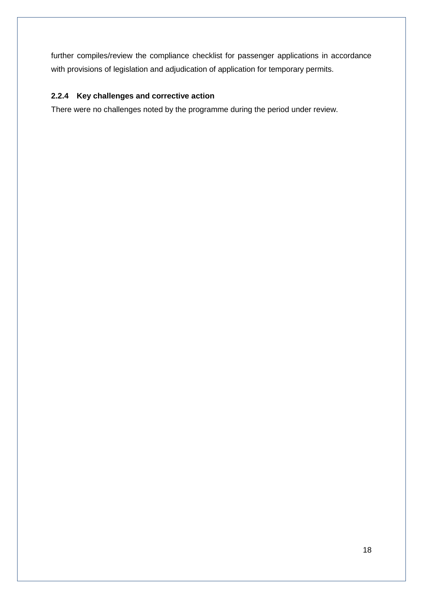further compiles/review the compliance checklist for passenger applications in accordance with provisions of legislation and adjudication of application for temporary permits.

# <span id="page-17-0"></span>**2.2.4 Key challenges and corrective action**

There were no challenges noted by the programme during the period under review.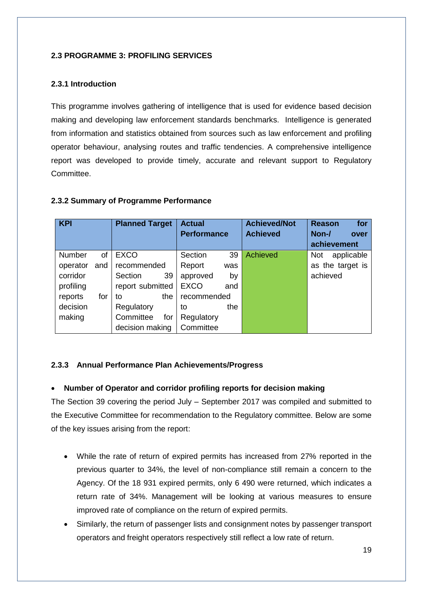## <span id="page-18-0"></span>**2.3 PROGRAMME 3: PROFILING SERVICES**

## <span id="page-18-1"></span>**2.3.1 Introduction**

This programme involves gathering of intelligence that is used for evidence based decision making and developing law enforcement standards benchmarks. Intelligence is generated from information and statistics obtained from sources such as law enforcement and profiling operator behaviour, analysing routes and traffic tendencies. A comprehensive intelligence report was developed to provide timely, accurate and relevant support to Regulatory Committee.

| <b>KPI</b> |     | <b>Planned Target</b> | <b>Actual</b>      |     | <b>Achieved/Not</b> | <b>Reason</b><br>for     |
|------------|-----|-----------------------|--------------------|-----|---------------------|--------------------------|
|            |     |                       | <b>Performance</b> |     | <b>Achieved</b>     | Non-/<br>over            |
|            |     |                       |                    |     |                     | achievement              |
| Number     | οf  | <b>EXCO</b>           | Section            | 39  | Achieved            | applicable<br><b>Not</b> |
| operator   | and | recommended           | Report             | was |                     | as the target is         |
| corridor   |     | 39<br>Section         | approved           | by  |                     | achieved                 |
| profiling  |     | report submitted      | <b>EXCO</b>        | and |                     |                          |
| reports    | for | the<br>to             | recommended        |     |                     |                          |
| decision   |     | Regulatory            | to                 | the |                     |                          |
| making     |     | Committee<br>for      | Regulatory         |     |                     |                          |

**Committee** 

## <span id="page-18-2"></span>**2.3.2 Summary of Programme Performance**

## <span id="page-18-3"></span>**2.3.3 Annual Performance Plan Achievements/Progress**

decision making

## **Number of Operator and corridor profiling reports for decision making**

The Section 39 covering the period July – September 2017 was compiled and submitted to the Executive Committee for recommendation to the Regulatory committee. Below are some of the key issues arising from the report:

- While the rate of return of expired permits has increased from 27% reported in the previous quarter to 34%, the level of non-compliance still remain a concern to the Agency. Of the 18 931 expired permits, only 6 490 were returned, which indicates a return rate of 34%. Management will be looking at various measures to ensure improved rate of compliance on the return of expired permits.
- Similarly, the return of passenger lists and consignment notes by passenger transport operators and freight operators respectively still reflect a low rate of return.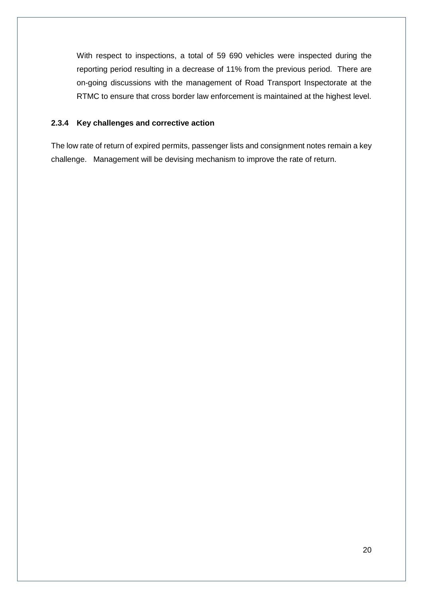With respect to inspections, a total of 59 690 vehicles were inspected during the reporting period resulting in a decrease of 11% from the previous period. There are on-going discussions with the management of Road Transport Inspectorate at the RTMC to ensure that cross border law enforcement is maintained at the highest level.

## <span id="page-19-0"></span>**2.3.4 Key challenges and corrective action**

The low rate of return of expired permits, passenger lists and consignment notes remain a key challenge. Management will be devising mechanism to improve the rate of return.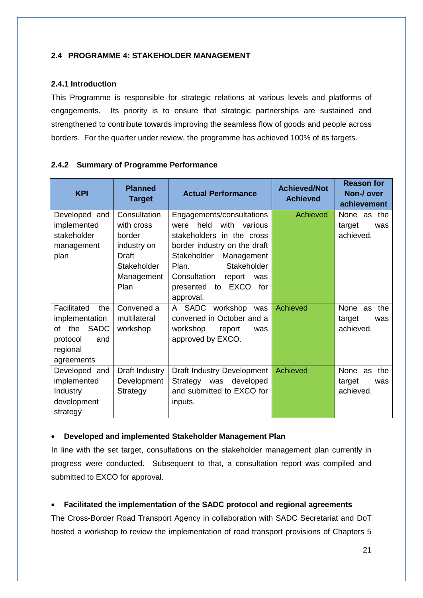## <span id="page-20-0"></span>**2.4 PROGRAMME 4: STAKEHOLDER MANAGEMENT**

## <span id="page-20-1"></span>**2.4.1 Introduction**

This Programme is responsible for strategic relations at various levels and platforms of engagements. Its priority is to ensure that strategic partnerships are sustained and strengthened to contribute towards improving the seamless flow of goods and people across borders. For the quarter under review, the programme has achieved 100% of its targets.

<span id="page-20-2"></span>

|  |  |  |  | 2.4.2 Summary of Programme Performance |
|--|--|--|--|----------------------------------------|
|--|--|--|--|----------------------------------------|

| <b>KPI</b>                                                                                                    | <b>Planned</b><br><b>Target</b>                                                                   | <b>Actual Performance</b>                                                                                                                                                                                                                                             | <b>Achieved/Not</b><br><b>Achieved</b> | <b>Reason for</b><br>Non-/ over<br>achievement  |
|---------------------------------------------------------------------------------------------------------------|---------------------------------------------------------------------------------------------------|-----------------------------------------------------------------------------------------------------------------------------------------------------------------------------------------------------------------------------------------------------------------------|----------------------------------------|-------------------------------------------------|
| Developed and<br>implemented<br>stakeholder<br>management<br>plan                                             | Consultation<br>with cross<br>border<br>industry on<br>Draft<br>Stakeholder<br>Management<br>Plan | Engagements/consultations<br>held<br>with<br>various<br>were<br>stakeholders in the cross<br>border industry on the draft<br>Stakeholder<br>Management<br>Stakeholder<br>Plan.<br>Consultation<br>report<br>was<br><b>EXCO</b><br>presented<br>for<br>to<br>approval. | Achieved                               | None as the<br>target<br>was<br>achieved.       |
| Facilitated<br>the<br>implementation<br><b>SADC</b><br>the<br>of<br>protocol<br>and<br>regional<br>agreements | Convened a<br>multilateral<br>workshop                                                            | A SADC<br>workshop<br>was<br>convened in October and a<br>workshop<br>report<br>was<br>approved by EXCO.                                                                                                                                                              | Achieved                               | None as the<br>target<br>was<br>achieved.       |
| Developed and<br>implemented<br><b>Industry</b><br>development<br>strategy                                    | Draft Industry<br>Development<br>Strategy                                                         | <b>Draft Industry Development</b><br>Strategy was<br>developed<br>and submitted to EXCO for<br>inputs.                                                                                                                                                                | Achieved                               | None<br>the<br>as<br>target<br>was<br>achieved. |

## **Developed and implemented Stakeholder Management Plan**

In line with the set target, consultations on the stakeholder management plan currently in progress were conducted. Subsequent to that, a consultation report was compiled and submitted to EXCO for approval.

# **Facilitated the implementation of the SADC protocol and regional agreements**

The Cross-Border Road Transport Agency in collaboration with SADC Secretariat and DoT hosted a workshop to review the implementation of road transport provisions of Chapters 5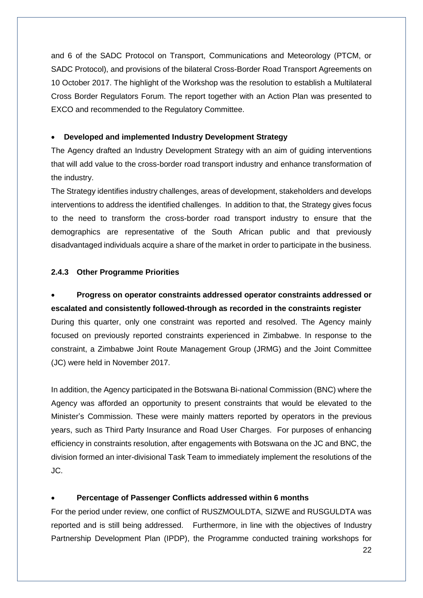and 6 of the SADC Protocol on Transport, Communications and Meteorology (PTCM, or SADC Protocol), and provisions of the bilateral Cross-Border Road Transport Agreements on 10 October 2017. The highlight of the Workshop was the resolution to establish a Multilateral Cross Border Regulators Forum. The report together with an Action Plan was presented to EXCO and recommended to the Regulatory Committee.

## **Developed and implemented Industry Development Strategy**

The Agency drafted an Industry Development Strategy with an aim of guiding interventions that will add value to the cross-border road transport industry and enhance transformation of the industry.

The Strategy identifies industry challenges, areas of development, stakeholders and develops interventions to address the identified challenges. In addition to that, the Strategy gives focus to the need to transform the cross-border road transport industry to ensure that the demographics are representative of the South African public and that previously disadvantaged individuals acquire a share of the market in order to participate in the business.

## <span id="page-21-0"></span>**2.4.3 Other Programme Priorities**

# **Progress on operator constraints addressed operator constraints addressed or escalated and consistently followed-through as recorded in the constraints register**

During this quarter, only one constraint was reported and resolved. The Agency mainly focused on previously reported constraints experienced in Zimbabwe. In response to the constraint, a Zimbabwe Joint Route Management Group (JRMG) and the Joint Committee (JC) were held in November 2017.

In addition, the Agency participated in the Botswana Bi-national Commission (BNC) where the Agency was afforded an opportunity to present constraints that would be elevated to the Minister's Commission. These were mainly matters reported by operators in the previous years, such as Third Party Insurance and Road User Charges. For purposes of enhancing efficiency in constraints resolution, after engagements with Botswana on the JC and BNC, the division formed an inter-divisional Task Team to immediately implement the resolutions of the JC.

### **Percentage of Passenger Conflicts addressed within 6 months**

For the period under review, one conflict of RUSZMOULDTA, SIZWE and RUSGULDTA was reported and is still being addressed. Furthermore, in line with the objectives of Industry Partnership Development Plan (IPDP), the Programme conducted training workshops for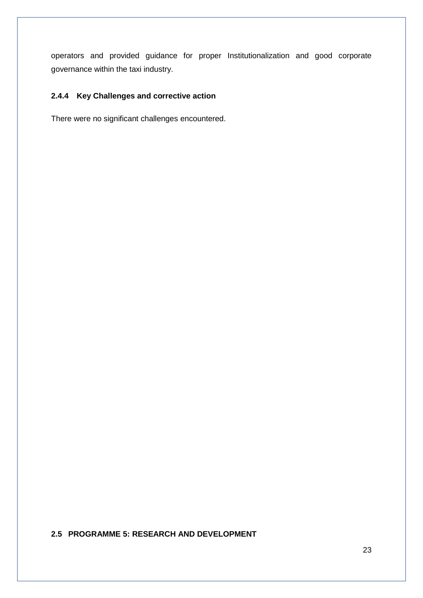operators and provided guidance for proper Institutionalization and good corporate governance within the taxi industry.

# <span id="page-22-0"></span>**2.4.4 Key Challenges and corrective action**

There were no significant challenges encountered.

<span id="page-22-1"></span>**2.5 PROGRAMME 5: RESEARCH AND DEVELOPMENT**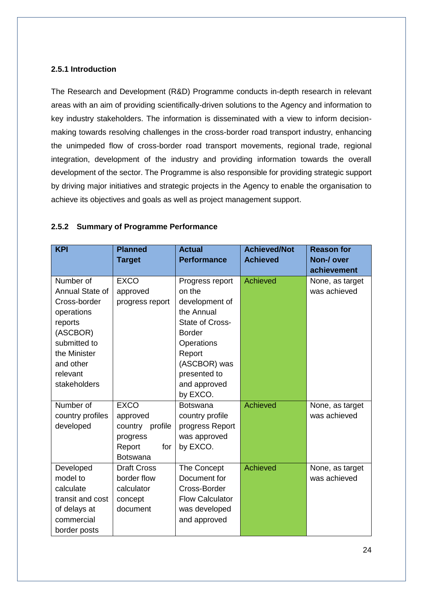## <span id="page-23-0"></span>**2.5.1 Introduction**

The Research and Development (R&D) Programme conducts in-depth research in relevant areas with an aim of providing scientifically-driven solutions to the Agency and information to key industry stakeholders. The information is disseminated with a view to inform decisionmaking towards resolving challenges in the cross-border road transport industry, enhancing the unimpeded flow of cross-border road transport movements, regional trade, regional integration, development of the industry and providing information towards the overall development of the sector. The Programme is also responsible for providing strategic support by driving major initiatives and strategic projects in the Agency to enable the organisation to achieve its objectives and goals as well as project management support.

## <span id="page-23-1"></span>**2.5.2 Summary of Programme Performance**

| <b>KPI</b>                                                                                                                                                 | <b>Planned</b><br><b>Target</b>                                                            | <b>Actual</b><br><b>Performance</b>                                                                                                                                                      | <b>Achieved/Not</b><br><b>Achieved</b> | <b>Reason for</b><br>Non-/ over<br>achievement |
|------------------------------------------------------------------------------------------------------------------------------------------------------------|--------------------------------------------------------------------------------------------|------------------------------------------------------------------------------------------------------------------------------------------------------------------------------------------|----------------------------------------|------------------------------------------------|
| Number of<br>Annual State of<br>Cross-border<br>operations<br>reports<br>(ASCBOR)<br>submitted to<br>the Minister<br>and other<br>relevant<br>stakeholders | <b>EXCO</b><br>approved<br>progress report                                                 | Progress report<br>on the<br>development of<br>the Annual<br><b>State of Cross-</b><br><b>Border</b><br>Operations<br>Report<br>(ASCBOR) was<br>presented to<br>and approved<br>by EXCO. | Achieved                               | None, as target<br>was achieved                |
| Number of<br>country profiles<br>developed                                                                                                                 | <b>EXCO</b><br>approved<br>country profile<br>progress<br>Report<br>for<br><b>Botswana</b> | <b>Botswana</b><br>country profile<br>progress Report<br>was approved<br>by EXCO.                                                                                                        | <b>Achieved</b>                        | None, as target<br>was achieved                |
| Developed<br>model to<br>calculate<br>transit and cost<br>of delays at<br>commercial<br>border posts                                                       | <b>Draft Cross</b><br>border flow<br>calculator<br>concept<br>document                     | The Concept<br>Document for<br>Cross-Border<br><b>Flow Calculator</b><br>was developed<br>and approved                                                                                   | Achieved                               | None, as target<br>was achieved                |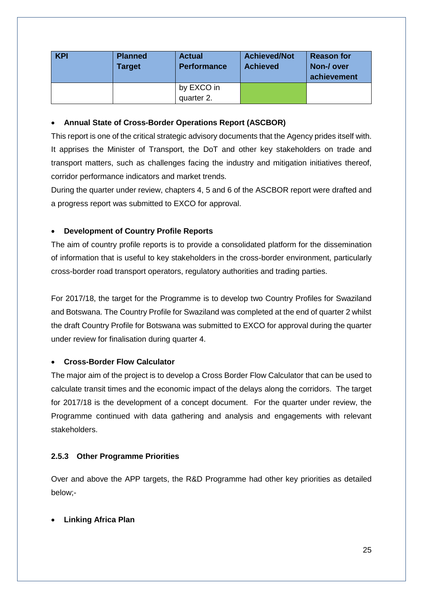| <b>KPI</b> | <b>Planned</b><br>Target | <b>Actual</b><br><b>Performance</b> | <b>Achieved/Not</b><br><b>Achieved</b> | <b>Reason for</b><br>Non-/ over<br>achievement |
|------------|--------------------------|-------------------------------------|----------------------------------------|------------------------------------------------|
|            |                          | by EXCO in                          |                                        |                                                |
|            |                          | quarter 2.                          |                                        |                                                |

## **Annual State of Cross-Border Operations Report (ASCBOR)**

This report is one of the critical strategic advisory documents that the Agency prides itself with. It apprises the Minister of Transport, the DoT and other key stakeholders on trade and transport matters, such as challenges facing the industry and mitigation initiatives thereof, corridor performance indicators and market trends.

During the quarter under review, chapters 4, 5 and 6 of the ASCBOR report were drafted and a progress report was submitted to EXCO for approval.

# **Development of Country Profile Reports**

The aim of country profile reports is to provide a consolidated platform for the dissemination of information that is useful to key stakeholders in the cross-border environment, particularly cross-border road transport operators, regulatory authorities and trading parties.

For 2017/18, the target for the Programme is to develop two Country Profiles for Swaziland and Botswana. The Country Profile for Swaziland was completed at the end of quarter 2 whilst the draft Country Profile for Botswana was submitted to EXCO for approval during the quarter under review for finalisation during quarter 4.

# **Cross-Border Flow Calculator**

The major aim of the project is to develop a Cross Border Flow Calculator that can be used to calculate transit times and the economic impact of the delays along the corridors. The target for 2017/18 is the development of a concept document. For the quarter under review, the Programme continued with data gathering and analysis and engagements with relevant stakeholders.

# <span id="page-24-0"></span>**2.5.3 Other Programme Priorities**

Over and above the APP targets, the R&D Programme had other key priorities as detailed below;-

**Linking Africa Plan**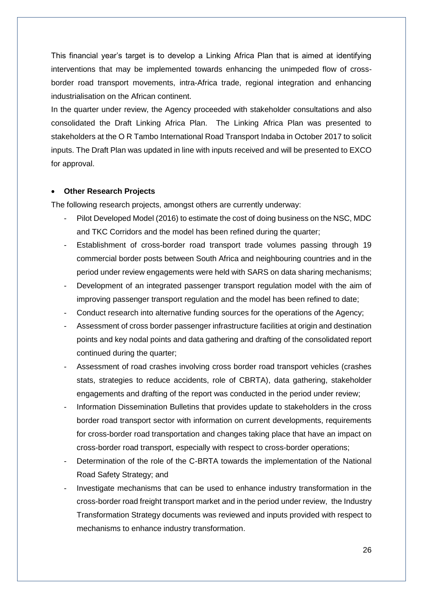This financial year's target is to develop a Linking Africa Plan that is aimed at identifying interventions that may be implemented towards enhancing the unimpeded flow of crossborder road transport movements, intra-Africa trade, regional integration and enhancing industrialisation on the African continent.

In the quarter under review, the Agency proceeded with stakeholder consultations and also consolidated the Draft Linking Africa Plan. The Linking Africa Plan was presented to stakeholders at the O R Tambo International Road Transport Indaba in October 2017 to solicit inputs. The Draft Plan was updated in line with inputs received and will be presented to EXCO for approval.

## **Other Research Projects**

The following research projects, amongst others are currently underway:

- Pilot Developed Model (2016) to estimate the cost of doing business on the NSC, MDC and TKC Corridors and the model has been refined during the quarter;
- Establishment of cross-border road transport trade volumes passing through 19 commercial border posts between South Africa and neighbouring countries and in the period under review engagements were held with SARS on data sharing mechanisms;
- Development of an integrated passenger transport regulation model with the aim of improving passenger transport regulation and the model has been refined to date;
- Conduct research into alternative funding sources for the operations of the Agency;
- Assessment of cross border passenger infrastructure facilities at origin and destination points and key nodal points and data gathering and drafting of the consolidated report continued during the quarter;
- Assessment of road crashes involving cross border road transport vehicles (crashes stats, strategies to reduce accidents, role of CBRTA), data gathering, stakeholder engagements and drafting of the report was conducted in the period under review;
- Information Dissemination Bulletins that provides update to stakeholders in the cross border road transport sector with information on current developments, requirements for cross-border road transportation and changes taking place that have an impact on cross-border road transport, especially with respect to cross-border operations;
- Determination of the role of the C-BRTA towards the implementation of the National Road Safety Strategy; and
- Investigate mechanisms that can be used to enhance industry transformation in the cross-border road freight transport market and in the period under review, the Industry Transformation Strategy documents was reviewed and inputs provided with respect to mechanisms to enhance industry transformation.